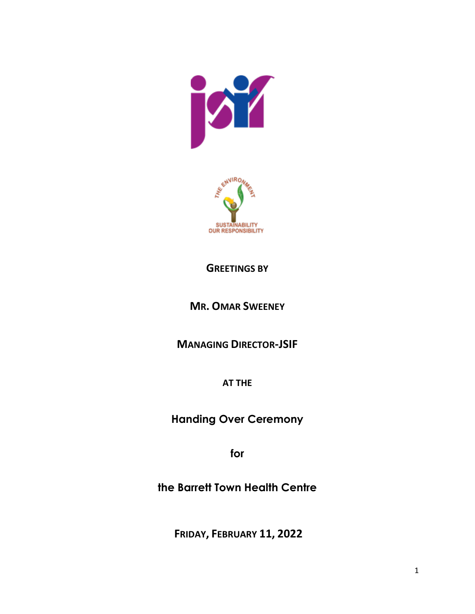



## **GREETINGS BY**

## **MR. OMAR SWEENEY**

**MANAGING DIRECTOR-JSIF**

**AT THE** 

**Handing Over Ceremony**

**for** 

**the Barrett Town Health Centre** 

**FRIDAY, FEBRUARY 11, 2022**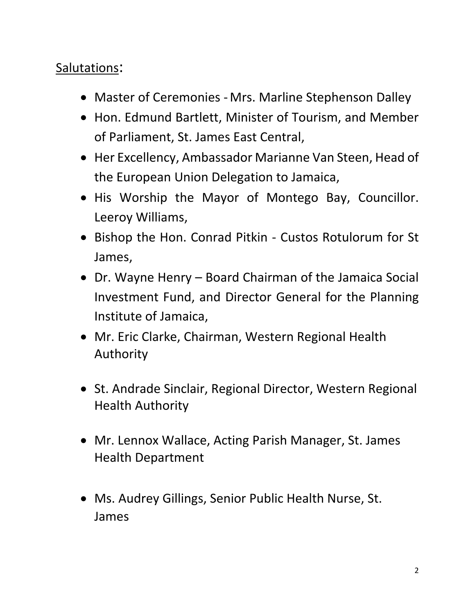## Salutations:

- Master of Ceremonies Mrs. Marline Stephenson Dalley
- Hon. Edmund Bartlett, Minister of Tourism, and Member of Parliament, St. James East Central,
- Her Excellency, Ambassador Marianne Van Steen, Head of the European Union Delegation to Jamaica,
- His Worship the Mayor of Montego Bay, Councillor. Leeroy Williams,
- Bishop the Hon. Conrad Pitkin Custos Rotulorum for St James,
- Dr. Wayne Henry Board Chairman of the Jamaica Social Investment Fund, and Director General for the Planning Institute of Jamaica,
- Mr. Eric Clarke, Chairman, Western Regional Health Authority
- St. Andrade Sinclair, Regional Director, Western Regional Health Authority
- Mr. Lennox Wallace, Acting Parish Manager, St. James Health Department
- Ms. Audrey Gillings, Senior Public Health Nurse, St. James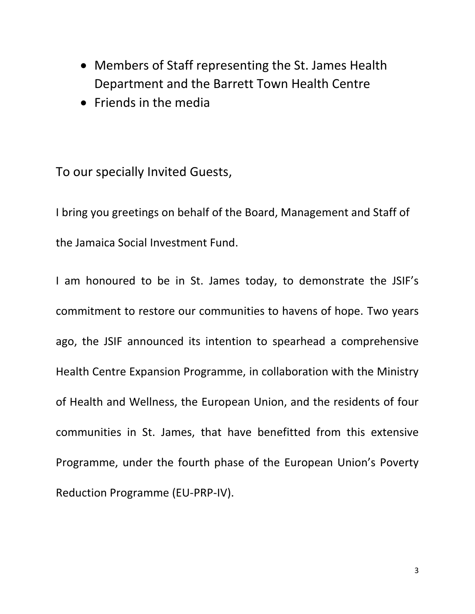- Members of Staff representing the St. James Health Department and the Barrett Town Health Centre
- Friends in the media

To our specially Invited Guests,

I bring you greetings on behalf of the Board, Management and Staff of the Jamaica Social Investment Fund.

I am honoured to be in St. James today, to demonstrate the JSIF's commitment to restore our communities to havens of hope. Two years ago, the JSIF announced its intention to spearhead a comprehensive Health Centre Expansion Programme, in collaboration with the Ministry of Health and Wellness, the European Union, and the residents of four communities in St. James, that have benefitted from this extensive Programme, under the fourth phase of the European Union's Poverty Reduction Programme (EU-PRP-IV).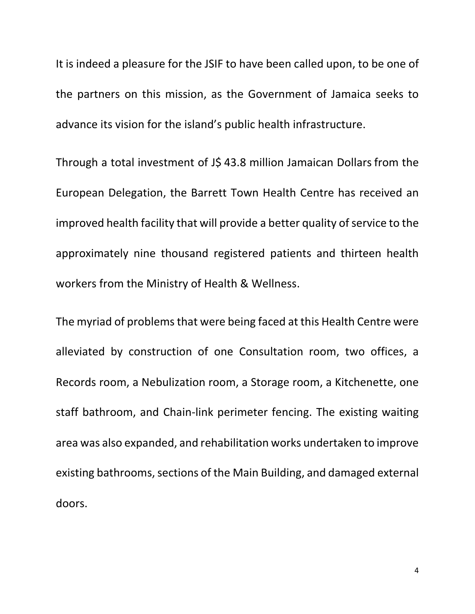It is indeed a pleasure for the JSIF to have been called upon, to be one of the partners on this mission, as the Government of Jamaica seeks to advance its vision for the island's public health infrastructure.

Through a total investment of J\$43.8 million Jamaican Dollars from the European Delegation, the Barrett Town Health Centre has received an improved health facility that will provide a better quality of service to the approximately nine thousand registered patients and thirteen health workers from the Ministry of Health & Wellness.

The myriad of problems that were being faced at this Health Centre were alleviated by construction of one Consultation room, two offices, a Records room, a Nebulization room, a Storage room, a Kitchenette, one staff bathroom, and Chain-link perimeter fencing. The existing waiting area was also expanded, and rehabilitation works undertaken to improve existing bathrooms, sections of the Main Building, and damaged external doors.